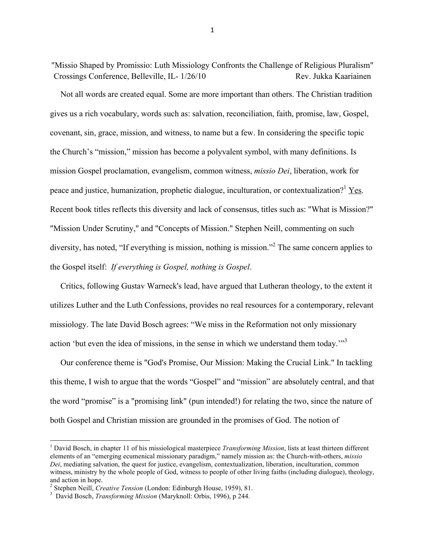"Missio Shaped by Promissio: Luth Missiology Confronts the Challenge of Religious Pluralism" Crossings Conference, Belleville, IL- 1/26/10 Rev. Jukka Kaariainen

 Not all words are created equal. Some are more important than others. The Christian tradition gives us a rich vocabulary, words such as: salvation, reconciliation, faith, promise, law, Gospel, covenant, sin, grace, mission, and witness, to name but a few. In considering the specific topic the Church's "mission," mission has become a polyvalent symbol, with many definitions. Is mission Gospel proclamation, evangelism, common witness, *missio Dei*, liberation, work for peace and justice, humanization, prophetic dialogue, inculturation, or contextualization?<sup>1</sup> Yes. Recent book titles reflects this diversity and lack of consensus, titles such as: "What is Mission?" "Mission Under Scrutiny," and "Concepts of Mission." Stephen Neill, commenting on such diversity, has noted, "If everything is mission, nothing is mission."<sup>2</sup> The same concern applies to the Gospel itself: *If everything is Gospel, nothing is Gospel*.

 Critics, following Gustav Warneck's lead, have argued that Lutheran theology, to the extent it utilizes Luther and the Luth Confessions, provides no real resources for a contemporary, relevant missiology. The late David Bosch agrees: "We miss in the Reformation not only missionary action 'but even the idea of missions, in the sense in which we understand them today.<sup>"3</sup>

 Our conference theme is "God's Promise, Our Mission: Making the Crucial Link." In tackling this theme, I wish to argue that the words "Gospel" and "mission" are absolutely central, and that the word "promise" is a "promising link" (pun intended!) for relating the two, since the nature of both Gospel and Christian mission are grounded in the promises of God. The notion of

<sup>&</sup>lt;sup>1</sup> David Bosch, in chapter 11 of his missiological masterpiece *Transforming Mission*, lists at least thirteen different elements of an "emerging ecumenical missionary paradigm," namely mission as: the Church-with-others, *missio Dei*, mediating salvation, the quest for justice, evangelism, contextualization, liberation, inculturation, common witness, ministry by the whole people of God, witness to people of other living faiths (including dialogue), theology, and action in hope.

<sup>&</sup>lt;sup>2</sup> Stephen Neill, *Creative Tension* (London: Edinburgh House, 1959), 81.<br><sup>3</sup> David Boseh, *Transforming Mission* (Marylanell: Orbis, 1906), p.344.

David Bosch, *Transforming Mission* (Maryknoll: Orbis, 1996), p 244.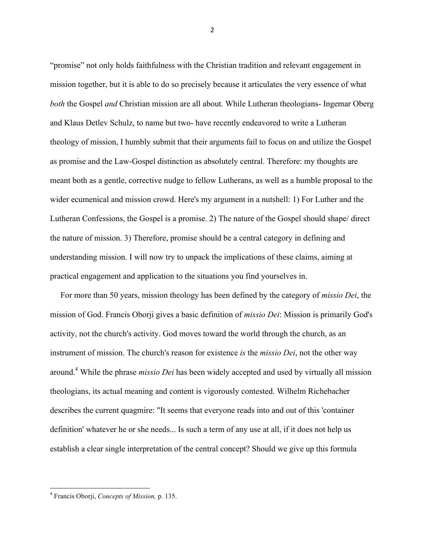"promise" not only holds faithfulness with the Christian tradition and relevant engagement in mission together, but it is able to do so precisely because it articulates the very essence of what *both* the Gospel *and* Christian mission are all about. While Lutheran theologians- Ingemar Oberg and Klaus Detlev Schulz, to name but two- have recently endeavored to write a Lutheran theology of mission, I humbly submit that their arguments fail to focus on and utilize the Gospel as promise and the Law-Gospel distinction as absolutely central. Therefore: my thoughts are meant both as a gentle, corrective nudge to fellow Lutherans, as well as a humble proposal to the wider ecumenical and mission crowd. Here's my argument in a nutshell: 1) For Luther and the Lutheran Confessions, the Gospel is a promise. 2) The nature of the Gospel should shape/ direct the nature of mission. 3) Therefore, promise should be a central category in defining and understanding mission. I will now try to unpack the implications of these claims, aiming at practical engagement and application to the situations you find yourselves in.

 For more than 50 years, mission theology has been defined by the category of *missio Dei*, the mission of God. Francis Oborji gives a basic definition of *missio Dei*: Mission is primarily God's activity, not the church's activity. God moves toward the world through the church, as an instrument of mission. The church's reason for existence *is* the *missio Dei*, not the other way around.4 While the phrase *missio Dei* has been widely accepted and used by virtually all mission theologians, its actual meaning and content is vigorously contested. Wilhelm Richebacher describes the current quagmire: "It seems that everyone reads into and out of this 'container definition' whatever he or she needs... Is such a term of any use at all, if it does not help us establish a clear single interpretation of the central concept? Should we give up this formula

""""""""""""""""""""""""""""""""""""""""""""""""""""""""""""

<sup>4</sup> Francis Oborji, *Concepts of Mission,* p. 135.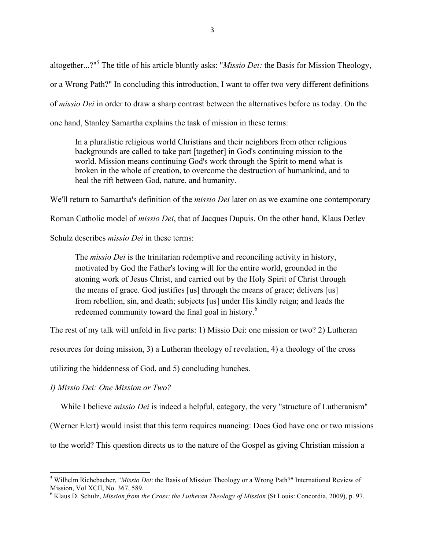altogether...?" 5 The title of his article bluntly asks: "*Missio Dei:* the Basis for Mission Theology, or a Wrong Path?" In concluding this introduction, I want to offer two very different definitions of *missio Dei* in order to draw a sharp contrast between the alternatives before us today. On the one hand, Stanley Samartha explains the task of mission in these terms:

In a pluralistic religious world Christians and their neighbors from other religious backgrounds are called to take part [together] in God's continuing mission to the world. Mission means continuing God's work through the Spirit to mend what is broken in the whole of creation, to overcome the destruction of humankind, and to heal the rift between God, nature, and humanity.

We'll return to Samartha's definition of the *missio Dei* later on as we examine one contemporary

Roman Catholic model of *missio Dei*, that of Jacques Dupuis. On the other hand, Klaus Detlev

Schulz describes *missio Dei* in these terms:

The *missio Dei* is the trinitarian redemptive and reconciling activity in history, motivated by God the Father's loving will for the entire world, grounded in the atoning work of Jesus Christ, and carried out by the Holy Spirit of Christ through the means of grace. God justifies [us] through the means of grace; delivers [us] from rebellion, sin, and death; subjects [us] under His kindly reign; and leads the redeemed community toward the final goal in history.<sup>6</sup>

The rest of my talk will unfold in five parts: 1) Missio Dei: one mission or two? 2) Lutheran

resources for doing mission, 3) a Lutheran theology of revelation, 4) a theology of the cross

utilizing the hiddenness of God, and 5) concluding hunches.

*I) Missio Dei: One Mission or Two?*

""""""""""""""""""""""""""""""""""""""""""""""""""""""""""""

While I believe *missio Dei* is indeed a helpful, category, the very "structure of Lutheranism"

(Werner Elert) would insist that this term requires nuancing: Does God have one or two missions

to the world? This question directs us to the nature of the Gospel as giving Christian mission a

<sup>5</sup> Wilhelm Richebacher, "*Missio Dei*: the Basis of Mission Theology or a Wrong Path?" International Review of Mission, Vol XCII, No. 367, 589. <sup>6</sup>

<sup>&</sup>lt;sup>6</sup> Klaus D. Schulz, *Mission from the Cross: the Lutheran Theology of Mission* (St Louis: Concordia, 2009), p. 97.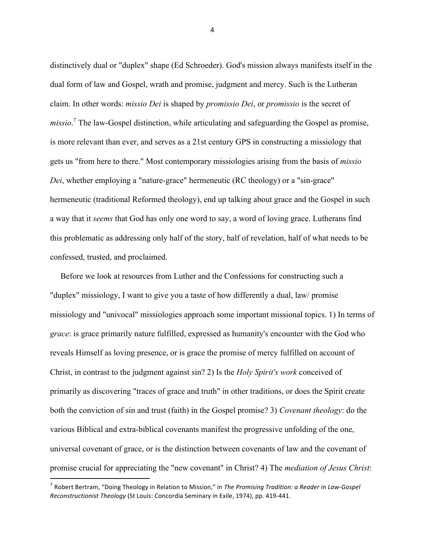distinctively dual or "duplex" shape (Ed Schroeder). God's mission always manifests itself in the dual form of law and Gospel, wrath and promise, judgment and mercy. Such is the Lutheran claim. In other words: *missio Dei* is shaped by *promissio Dei*, or *promissio* is the secret of *missio*. 7 The law-Gospel distinction, while articulating and safeguarding the Gospel as promise, is more relevant than ever, and serves as a 21st century GPS in constructing a missiology that gets us "from here to there." Most contemporary missiologies arising from the basis of *missio Dei*, whether employing a "nature-grace" hermeneutic (RC theology) or a "sin-grace" hermeneutic (traditional Reformed theology), end up talking about grace and the Gospel in such a way that it *seems* that God has only one word to say, a word of loving grace. Lutherans find this problematic as addressing only half of the story, half of revelation, half of what needs to be confessed, trusted, and proclaimed.

 Before we look at resources from Luther and the Confessions for constructing such a "duplex" missiology, I want to give you a taste of how differently a dual, law/ promise missiology and "univocal" missiologies approach some important missional topics. 1) In terms of *grace*: is grace primarily nature fulfilled, expressed as humanity's encounter with the God who reveals Himself as loving presence, or is grace the promise of mercy fulfilled on account of Christ, in contrast to the judgment against sin? 2) Is the *Holy Spirit's work* conceived of primarily as discovering "traces of grace and truth" in other traditions, or does the Spirit create both the conviction of sin and trust (faith) in the Gospel promise? 3) *Covenant theology*: do the various Biblical and extra-biblical covenants manifest the progressive unfolding of the one, universal covenant of grace, or is the distinction between covenants of law and the covenant of promise crucial for appreciating the "new covenant" in Christ? 4) The *mediation of Jesus Christ*:

""""""""""""""""""""""""""""""""""""""""""""""""""""""""""""

<sup>&</sup>lt;sup>7</sup> Robert Bertram, "Doing Theology in Relation to Mission," in The Promising Tradition: a Reader in Law-Gospel *Reconstructionist Theology* (St Louis: Concordia Seminary in Exile, 1974), pp. 419-441.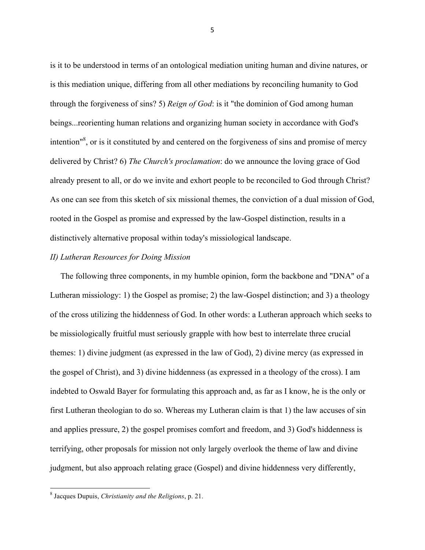is it to be understood in terms of an ontological mediation uniting human and divine natures, or is this mediation unique, differing from all other mediations by reconciling humanity to God through the forgiveness of sins? 5) *Reign of God*: is it "the dominion of God among human beings...reorienting human relations and organizing human society in accordance with God's intention<sup>18</sup>, or is it constituted by and centered on the forgiveness of sins and promise of mercy delivered by Christ? 6) *The Church's proclamation*: do we announce the loving grace of God already present to all, or do we invite and exhort people to be reconciled to God through Christ? As one can see from this sketch of six missional themes, the conviction of a dual mission of God, rooted in the Gospel as promise and expressed by the law-Gospel distinction, results in a distinctively alternative proposal within today's missiological landscape.

## *II) Lutheran Resources for Doing Mission*

The following three components, in my humble opinion, form the backbone and "DNA" of a Lutheran missiology: 1) the Gospel as promise; 2) the law-Gospel distinction; and 3) a theology of the cross utilizing the hiddenness of God. In other words: a Lutheran approach which seeks to be missiologically fruitful must seriously grapple with how best to interrelate three crucial themes: 1) divine judgment (as expressed in the law of God), 2) divine mercy (as expressed in the gospel of Christ), and 3) divine hiddenness (as expressed in a theology of the cross). I am indebted to Oswald Bayer for formulating this approach and, as far as I know, he is the only or first Lutheran theologian to do so. Whereas my Lutheran claim is that 1) the law accuses of sin and applies pressure, 2) the gospel promises comfort and freedom, and 3) God's hiddenness is terrifying, other proposals for mission not only largely overlook the theme of law and divine judgment, but also approach relating grace (Gospel) and divine hiddenness very differently,

""""""""""""""""""""""""""""""""""""""""""""""""""""""""""""

<sup>8</sup> Jacques Dupuis, *Christianity and the Religions*, p. 21.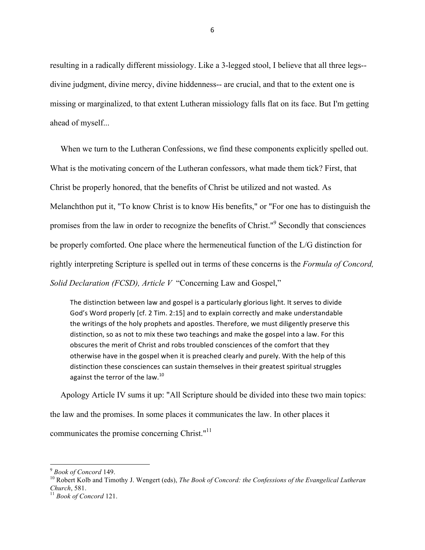resulting in a radically different missiology. Like a 3-legged stool, I believe that all three legs- divine judgment, divine mercy, divine hiddenness-- are crucial, and that to the extent one is missing or marginalized, to that extent Lutheran missiology falls flat on its face. But I'm getting ahead of myself...

 When we turn to the Lutheran Confessions, we find these components explicitly spelled out. What is the motivating concern of the Lutheran confessors, what made them tick? First, that Christ be properly honored, that the benefits of Christ be utilized and not wasted. As Melanchthon put it, "To know Christ is to know His benefits," or "For one has to distinguish the promises from the law in order to recognize the benefits of Christ."<sup>9</sup> Secondly that consciences be properly comforted. One place where the hermeneutical function of the L/G distinction for rightly interpreting Scripture is spelled out in terms of these concerns is the *Formula of Concord, Solid Declaration (FCSD), Article V* "Concerning Law and Gospel,"

The distinction between law and gospel is a particularly glorious light. It serves to divide God's Word properly [cf. 2 Tim. 2:15] and to explain correctly and make understandable the writings of the holy prophets and apostles. Therefore, we must diligently preserve this distinction, so as not to mix these two teachings and make the gospel into a law. For this obscures the merit of Christ and robs troubled consciences of the comfort that they otherwise have in the gospel when it is preached clearly and purely. With the help of this distinction these consciences can sustain themselves in their greatest spiritual struggles against the terror of the law. $^{10}$ 

 Apology Article IV sums it up: "All Scripture should be divided into these two main topics: the law and the promises. In some places it communicates the law. In other places it communicates the promise concerning Christ."<sup>11</sup>

<sup>&</sup>lt;sup>9</sup> *Book of Concord* 149.<br><sup>10</sup> Robert Kolb and Timothy J. Wengert (eds), *The Book of Concord: the Confessions of the Evangelical Lutheran Church*, 581. <sup>11</sup> *Book of Concord* 121.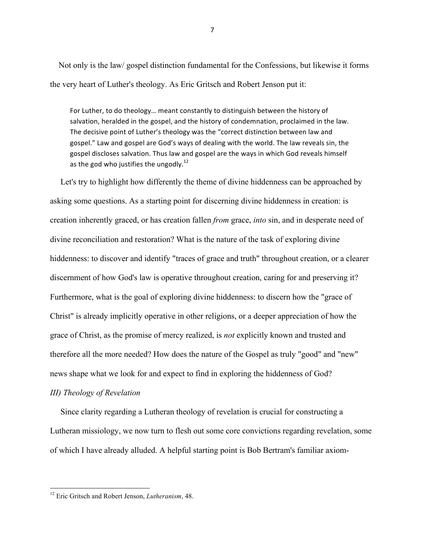Not only is the law/ gospel distinction fundamental for the Confessions, but likewise it forms the very heart of Luther's theology. As Eric Gritsch and Robert Jenson put it:

For Luther, to do theology... meant constantly to distinguish between the history of salvation, heralded in the gospel, and the history of condemnation, proclaimed in the law. The decisive point of Luther's theology was the "correct distinction between law and gospel." Law and gospel are God's ways of dealing with the world. The law reveals sin, the gospel discloses salvation. Thus law and gospel are the ways in which God reveals himself as the god who justifies the ungodly.<sup>12</sup>

 Let's try to highlight how differently the theme of divine hiddenness can be approached by asking some questions. As a starting point for discerning divine hiddenness in creation: is creation inherently graced, or has creation fallen *from* grace, *into* sin, and in desperate need of divine reconciliation and restoration? What is the nature of the task of exploring divine hiddenness: to discover and identify "traces of grace and truth" throughout creation, or a clearer discernment of how God's law is operative throughout creation, caring for and preserving it? Furthermore, what is the goal of exploring divine hiddenness: to discern how the "grace of Christ" is already implicitly operative in other religions, or a deeper appreciation of how the grace of Christ, as the promise of mercy realized, is *not* explicitly known and trusted and therefore all the more needed? How does the nature of the Gospel as truly "good" and "new" news shape what we look for and expect to find in exploring the hiddenness of God?

## *III) Theology of Revelation*

 Since clarity regarding a Lutheran theology of revelation is crucial for constructing a Lutheran missiology, we now turn to flesh out some core convictions regarding revelation, some of which I have already alluded. A helpful starting point is Bob Bertram's familiar axiom-

<sup>12</sup> Eric Gritsch and Robert Jenson, *Lutheranism*, 48.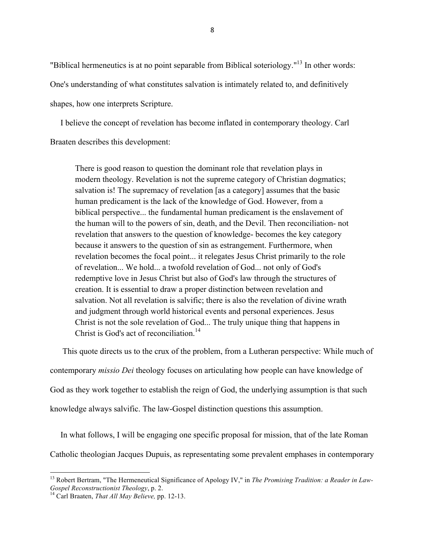"Biblical hermeneutics is at no point separable from Biblical soteriology."13 In other words: One's understanding of what constitutes salvation is intimately related to, and definitively shapes, how one interprets Scripture.

 I believe the concept of revelation has become inflated in contemporary theology. Carl Braaten describes this development:

There is good reason to question the dominant role that revelation plays in modern theology. Revelation is not the supreme category of Christian dogmatics; salvation is! The supremacy of revelation [as a category] assumes that the basic human predicament is the lack of the knowledge of God. However, from a biblical perspective... the fundamental human predicament is the enslavement of the human will to the powers of sin, death, and the Devil. Then reconciliation- not revelation that answers to the question of knowledge- becomes the key category because it answers to the question of sin as estrangement. Furthermore, when revelation becomes the focal point... it relegates Jesus Christ primarily to the role of revelation... We hold... a twofold revelation of God... not only of God's redemptive love in Jesus Christ but also of God's law through the structures of creation. It is essential to draw a proper distinction between revelation and salvation. Not all revelation is salvific; there is also the revelation of divine wrath and judgment through world historical events and personal experiences. Jesus Christ is not the sole revelation of God... The truly unique thing that happens in Christ is God's act of reconciliation.<sup>14</sup>

This quote directs us to the crux of the problem, from a Lutheran perspective: While much of

contemporary *missio Dei* theology focuses on articulating how people can have knowledge of

God as they work together to establish the reign of God, the underlying assumption is that such

knowledge always salvific. The law-Gospel distinction questions this assumption.

 In what follows, I will be engaging one specific proposal for mission, that of the late Roman Catholic theologian Jacques Dupuis, as representating some prevalent emphases in contemporary

<sup>&</sup>lt;sup>13</sup> Robert Bertram, "The Hermeneutical Significance of Apology IV," in *The Promising Tradition: a Reader in Law*-*Gospel Reconstructionist Theology*, p. 2.<br><sup>14</sup> Carl Braaten, *That All May Believe*, pp. 12-13.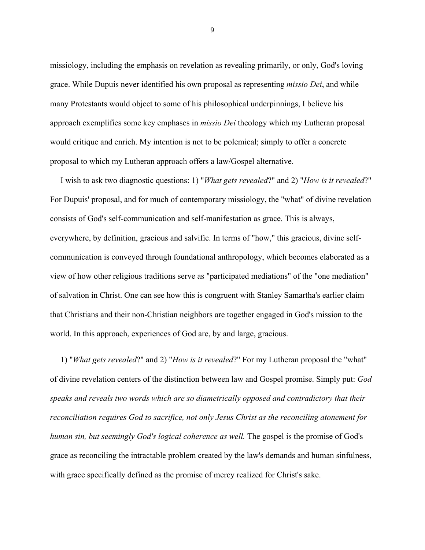missiology, including the emphasis on revelation as revealing primarily, or only, God's loving grace. While Dupuis never identified his own proposal as representing *missio Dei*, and while many Protestants would object to some of his philosophical underpinnings, I believe his approach exemplifies some key emphases in *missio Dei* theology which my Lutheran proposal would critique and enrich. My intention is not to be polemical; simply to offer a concrete proposal to which my Lutheran approach offers a law/Gospel alternative.

 I wish to ask two diagnostic questions: 1) "*What gets revealed*?" and 2) "*How is it revealed*?" For Dupuis' proposal, and for much of contemporary missiology, the "what" of divine revelation consists of God's self-communication and self-manifestation as grace. This is always, everywhere, by definition, gracious and salvific. In terms of "how," this gracious, divine selfcommunication is conveyed through foundational anthropology, which becomes elaborated as a view of how other religious traditions serve as "participated mediations" of the "one mediation" of salvation in Christ. One can see how this is congruent with Stanley Samartha's earlier claim that Christians and their non-Christian neighbors are together engaged in God's mission to the world. In this approach, experiences of God are, by and large, gracious.

 1) "*What gets revealed*?" and 2) "*How is it revealed*?" For my Lutheran proposal the "what" of divine revelation centers of the distinction between law and Gospel promise. Simply put: *God speaks and reveals two words which are so diametrically opposed and contradictory that their reconciliation requires God to sacrifice, not only Jesus Christ as the reconciling atonement for human sin, but seemingly God's logical coherence as well.* The gospel is the promise of God's grace as reconciling the intractable problem created by the law's demands and human sinfulness, with grace specifically defined as the promise of mercy realized for Christ's sake.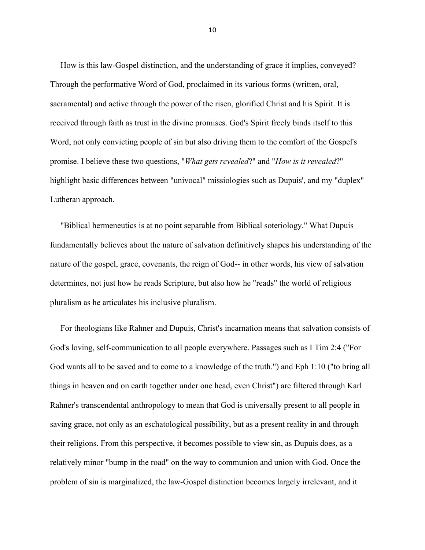How is this law-Gospel distinction, and the understanding of grace it implies, conveyed? Through the performative Word of God, proclaimed in its various forms (written, oral, sacramental) and active through the power of the risen, glorified Christ and his Spirit. It is received through faith as trust in the divine promises. God's Spirit freely binds itself to this Word, not only convicting people of sin but also driving them to the comfort of the Gospel's promise. I believe these two questions, "*What gets revealed*?" and "*How is it revealed*?" highlight basic differences between "univocal" missiologies such as Dupuis', and my "duplex" Lutheran approach.

 "Biblical hermeneutics is at no point separable from Biblical soteriology." What Dupuis fundamentally believes about the nature of salvation definitively shapes his understanding of the nature of the gospel, grace, covenants, the reign of God-- in other words, his view of salvation determines, not just how he reads Scripture, but also how he "reads" the world of religious pluralism as he articulates his inclusive pluralism.

 For theologians like Rahner and Dupuis, Christ's incarnation means that salvation consists of God's loving, self-communication to all people everywhere. Passages such as I Tim 2:4 ("For God wants all to be saved and to come to a knowledge of the truth.") and Eph 1:10 ("to bring all things in heaven and on earth together under one head, even Christ") are filtered through Karl Rahner's transcendental anthropology to mean that God is universally present to all people in saving grace, not only as an eschatological possibility, but as a present reality in and through their religions. From this perspective, it becomes possible to view sin, as Dupuis does, as a relatively minor "bump in the road" on the way to communion and union with God. Once the problem of sin is marginalized, the law-Gospel distinction becomes largely irrelevant, and it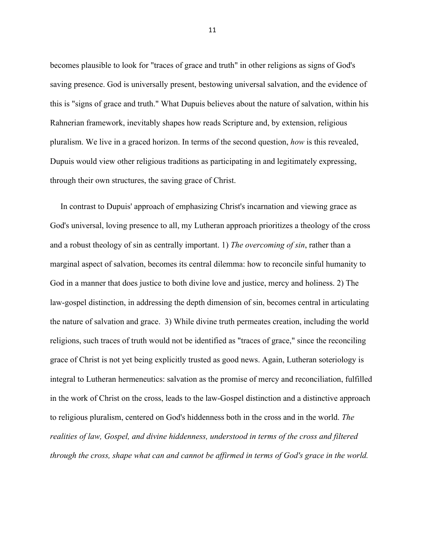becomes plausible to look for "traces of grace and truth" in other religions as signs of God's saving presence. God is universally present, bestowing universal salvation, and the evidence of this is "signs of grace and truth." What Dupuis believes about the nature of salvation, within his Rahnerian framework, inevitably shapes how reads Scripture and, by extension, religious pluralism. We live in a graced horizon. In terms of the second question, *how* is this revealed, Dupuis would view other religious traditions as participating in and legitimately expressing, through their own structures, the saving grace of Christ.

 In contrast to Dupuis' approach of emphasizing Christ's incarnation and viewing grace as God's universal, loving presence to all, my Lutheran approach prioritizes a theology of the cross and a robust theology of sin as centrally important. 1) *The overcoming of sin*, rather than a marginal aspect of salvation, becomes its central dilemma: how to reconcile sinful humanity to God in a manner that does justice to both divine love and justice, mercy and holiness. 2) The law-gospel distinction, in addressing the depth dimension of sin, becomes central in articulating the nature of salvation and grace. 3) While divine truth permeates creation, including the world religions, such traces of truth would not be identified as "traces of grace," since the reconciling grace of Christ is not yet being explicitly trusted as good news. Again, Lutheran soteriology is integral to Lutheran hermeneutics: salvation as the promise of mercy and reconciliation, fulfilled in the work of Christ on the cross, leads to the law-Gospel distinction and a distinctive approach to religious pluralism, centered on God's hiddenness both in the cross and in the world. *The realities of law, Gospel, and divine hiddenness, understood in terms of the cross and filtered through the cross, shape what can and cannot be affirmed in terms of God's grace in the world.*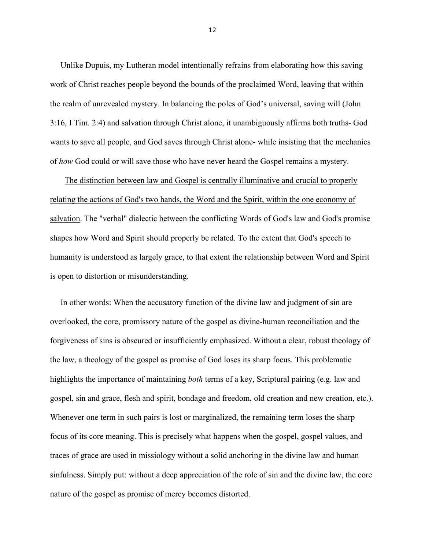Unlike Dupuis, my Lutheran model intentionally refrains from elaborating how this saving work of Christ reaches people beyond the bounds of the proclaimed Word, leaving that within the realm of unrevealed mystery. In balancing the poles of God's universal, saving will (John 3:16, I Tim. 2:4) and salvation through Christ alone, it unambiguously affirms both truths- God wants to save all people, and God saves through Christ alone- while insisting that the mechanics of *how* God could or will save those who have never heard the Gospel remains a mystery.

 The distinction between law and Gospel is centrally illuminative and crucial to properly relating the actions of God's two hands, the Word and the Spirit, within the one economy of salvation. The "verbal" dialectic between the conflicting Words of God's law and God's promise shapes how Word and Spirit should properly be related. To the extent that God's speech to humanity is understood as largely grace, to that extent the relationship between Word and Spirit is open to distortion or misunderstanding.

 In other words: When the accusatory function of the divine law and judgment of sin are overlooked, the core, promissory nature of the gospel as divine-human reconciliation and the forgiveness of sins is obscured or insufficiently emphasized. Without a clear, robust theology of the law, a theology of the gospel as promise of God loses its sharp focus. This problematic highlights the importance of maintaining *both* terms of a key, Scriptural pairing (e.g. law and gospel, sin and grace, flesh and spirit, bondage and freedom, old creation and new creation, etc.). Whenever one term in such pairs is lost or marginalized, the remaining term loses the sharp focus of its core meaning. This is precisely what happens when the gospel, gospel values, and traces of grace are used in missiology without a solid anchoring in the divine law and human sinfulness. Simply put: without a deep appreciation of the role of sin and the divine law, the core nature of the gospel as promise of mercy becomes distorted.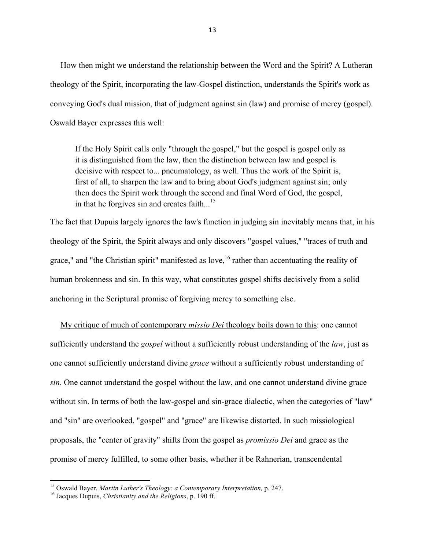How then might we understand the relationship between the Word and the Spirit? A Lutheran theology of the Spirit, incorporating the law-Gospel distinction, understands the Spirit's work as conveying God's dual mission, that of judgment against sin (law) and promise of mercy (gospel). Oswald Bayer expresses this well:

If the Holy Spirit calls only "through the gospel," but the gospel is gospel only as it is distinguished from the law, then the distinction between law and gospel is decisive with respect to... pneumatology, as well. Thus the work of the Spirit is, first of all, to sharpen the law and to bring about God's judgment against sin; only then does the Spirit work through the second and final Word of God, the gospel, in that he forgives sin and creates faith... $^{15}$ 

The fact that Dupuis largely ignores the law's function in judging sin inevitably means that, in his theology of the Spirit, the Spirit always and only discovers "gospel values," "traces of truth and grace," and "the Christian spirit" manifested as love,  $16$  rather than accentuating the reality of human brokenness and sin. In this way, what constitutes gospel shifts decisively from a solid anchoring in the Scriptural promise of forgiving mercy to something else.

 My critique of much of contemporary *missio Dei* theology boils down to this: one cannot sufficiently understand the *gospel* without a sufficiently robust understanding of the *law*, just as one cannot sufficiently understand divine *grace* without a sufficiently robust understanding of *sin*. One cannot understand the gospel without the law, and one cannot understand divine grace without sin. In terms of both the law-gospel and sin-grace dialectic, when the categories of "law" and "sin" are overlooked, "gospel" and "grace" are likewise distorted. In such missiological proposals, the "center of gravity" shifts from the gospel as *promissio Dei* and grace as the promise of mercy fulfilled, to some other basis, whether it be Rahnerian, transcendental

<sup>&</sup>lt;sup>15</sup> Oswald Bayer, *Martin Luther's Theology: a Contemporary Interpretation*, p. 247.<br><sup>16</sup> Jacques Dupuis, *Christianity and the Religions*, p. 190 ff.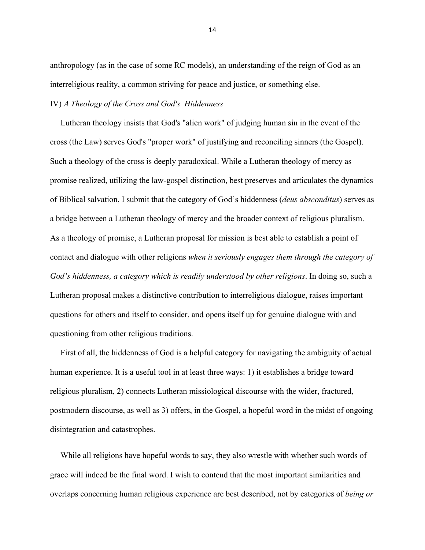anthropology (as in the case of some RC models), an understanding of the reign of God as an interreligious reality, a common striving for peace and justice, or something else.

## IV) *A Theology of the Cross and God's Hiddenness*

 Lutheran theology insists that God's "alien work" of judging human sin in the event of the cross (the Law) serves God's "proper work" of justifying and reconciling sinners (the Gospel). Such a theology of the cross is deeply paradoxical. While a Lutheran theology of mercy as promise realized, utilizing the law-gospel distinction, best preserves and articulates the dynamics of Biblical salvation, I submit that the category of God's hiddenness (*deus absconditus*) serves as a bridge between a Lutheran theology of mercy and the broader context of religious pluralism. As a theology of promise, a Lutheran proposal for mission is best able to establish a point of contact and dialogue with other religions *when it seriously engages them through the category of God's hiddenness, a category which is readily understood by other religions*. In doing so, such a Lutheran proposal makes a distinctive contribution to interreligious dialogue, raises important questions for others and itself to consider, and opens itself up for genuine dialogue with and questioning from other religious traditions.

 First of all, the hiddenness of God is a helpful category for navigating the ambiguity of actual human experience. It is a useful tool in at least three ways: 1) it establishes a bridge toward religious pluralism, 2) connects Lutheran missiological discourse with the wider, fractured, postmodern discourse, as well as 3) offers, in the Gospel, a hopeful word in the midst of ongoing disintegration and catastrophes.

While all religions have hopeful words to say, they also wrestle with whether such words of grace will indeed be the final word. I wish to contend that the most important similarities and overlaps concerning human religious experience are best described, not by categories of *being or*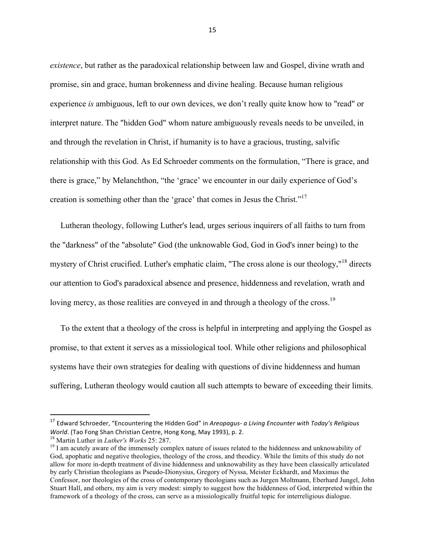*existence*, but rather as the paradoxical relationship between law and Gospel, divine wrath and promise, sin and grace, human brokenness and divine healing. Because human religious experience *is* ambiguous, left to our own devices, we don't really quite know how to "read" or interpret nature. The "hidden God" whom nature ambiguously reveals needs to be unveiled, in and through the revelation in Christ, if humanity is to have a gracious, trusting, salvific relationship with this God. As Ed Schroeder comments on the formulation, "There is grace, and there is grace," by Melanchthon, "the 'grace' we encounter in our daily experience of God's creation is something other than the 'grace' that comes in Jesus the Christ."17

 Lutheran theology, following Luther's lead, urges serious inquirers of all faiths to turn from the "darkness" of the "absolute" God (the unknowable God, God in God's inner being) to the mystery of Christ crucified. Luther's emphatic claim, "The cross alone is our theology,"<sup>18</sup> directs our attention to God's paradoxical absence and presence, hiddenness and revelation, wrath and loving mercy, as those realities are conveyed in and through a theology of the cross.<sup>19</sup>

 To the extent that a theology of the cross is helpful in interpreting and applying the Gospel as promise, to that extent it serves as a missiological tool. While other religions and philosophical systems have their own strategies for dealing with questions of divine hiddenness and human suffering, Lutheran theology would caution all such attempts to beware of exceeding their limits.

<sup>&</sup>lt;sup>17</sup> Edward Schroeder, "Encountering the Hidden God" in *Areopagus- a Living Encounter with Today's Religious World*. (Tao Fong Shan Christian Centre, Hong Kong, May 1993), p. 2.<br><sup>18</sup> Martin Luther in *Luther's Works* 25: 287.

<sup>&</sup>lt;sup>19</sup> I am acutely aware of the immensely complex nature of issues related to the hiddenness and unknowability of God, apophatic and negative theologies, theology of the cross, and theodicy. While the limits of this study do not allow for more in-depth treatment of divine hiddenness and unknowability as they have been classically articulated by early Christian theologians as Pseudo-Dionysius, Gregory of Nyssa, Meister Eckhardt, and Maximus the Confessor, nor theologies of the cross of contemporary theologians such as Jurgen Moltmann, Eberhard Jungel, John Stuart Hall, and others, my aim is very modest: simply to suggest how the hiddenness of God, interpreted within the framework of a theology of the cross, can serve as a missiologically fruitful topic for interreligious dialogue.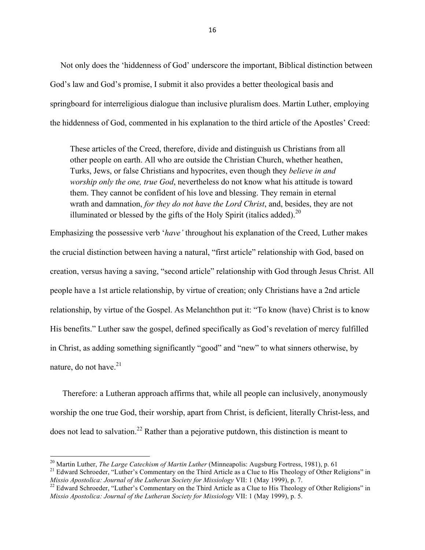Not only does the 'hiddenness of God' underscore the important, Biblical distinction between God's law and God's promise, I submit it also provides a better theological basis and springboard for interreligious dialogue than inclusive pluralism does. Martin Luther, employing the hiddenness of God, commented in his explanation to the third article of the Apostles' Creed:

These articles of the Creed, therefore, divide and distinguish us Christians from all other people on earth. All who are outside the Christian Church, whether heathen, Turks, Jews, or false Christians and hypocrites, even though they *believe in and worship only the one, true God*, nevertheless do not know what his attitude is toward them. They cannot be confident of his love and blessing. They remain in eternal wrath and damnation, *for they do not have the Lord Christ*, and, besides, they are not illuminated or blessed by the gifts of the Holy Spirit (italics added).<sup>20</sup>

Emphasizing the possessive verb '*have'* throughout his explanation of the Creed, Luther makes the crucial distinction between having a natural, "first article" relationship with God, based on creation, versus having a saving, "second article" relationship with God through Jesus Christ. All people have a 1st article relationship, by virtue of creation; only Christians have a 2nd article relationship, by virtue of the Gospel. As Melanchthon put it: "To know (have) Christ is to know His benefits." Luther saw the gospel, defined specifically as God's revelation of mercy fulfilled in Christ, as adding something significantly "good" and "new" to what sinners otherwise, by nature, do not have.<sup>21</sup>

 Therefore: a Lutheran approach affirms that, while all people can inclusively, anonymously worship the one true God, their worship, apart from Christ, is deficient, literally Christ-less, and does not lead to salvation.<sup>22</sup> Rather than a pejorative putdown, this distinction is meant to

<sup>&</sup>lt;sup>20</sup> Martin Luther, *The Large Catechism of Martin Luther* (Minneapolis: Augsburg Fortress, 1981), p. 61<br><sup>21</sup> Edward Schroeder, "Luther's Commentary on the Third Article as a Clue to His Theology of Other Religions" in *Missio Apostolica: Journal of the Lutheran Society for Missiology VII: 1 (May 1999), p. 7.*<br><sup>22</sup> Edward Schroeder, "Luther's Commentary on the Third Article as a Clue to His Theology of Other Religions" in

*Missio Apostolica: Journal of the Lutheran Society for Missiology* VII: 1 (May 1999), p. 5.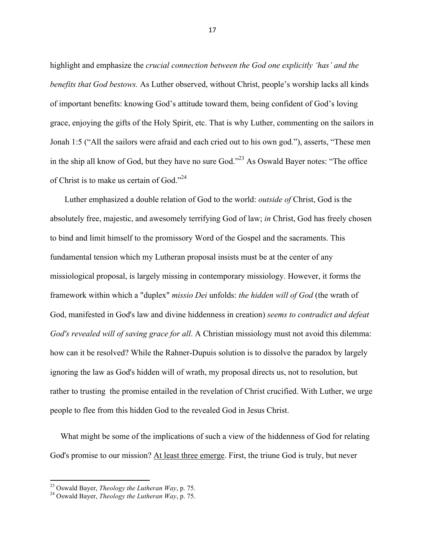highlight and emphasize the *crucial connection between the God one explicitly 'has' and the benefits that God bestows.* As Luther observed, without Christ, people's worship lacks all kinds of important benefits: knowing God's attitude toward them, being confident of God's loving grace, enjoying the gifts of the Holy Spirit, etc. That is why Luther, commenting on the sailors in Jonah 1:5 ("All the sailors were afraid and each cried out to his own god."), asserts, "These men in the ship all know of God, but they have no sure God."<sup>23</sup> As Oswald Bayer notes: "The office of Christ is to make us certain of God."24

 Luther emphasized a double relation of God to the world: *outside of* Christ, God is the absolutely free, majestic, and awesomely terrifying God of law; *in* Christ, God has freely chosen to bind and limit himself to the promissory Word of the Gospel and the sacraments. This fundamental tension which my Lutheran proposal insists must be at the center of any missiological proposal, is largely missing in contemporary missiology. However, it forms the framework within which a "duplex" *missio Dei* unfolds: *the hidden will of God* (the wrath of God, manifested in God's law and divine hiddenness in creation) *seems to contradict and defeat God's revealed will of saving grace for all*. A Christian missiology must not avoid this dilemma: how can it be resolved? While the Rahner-Dupuis solution is to dissolve the paradox by largely ignoring the law as God's hidden will of wrath, my proposal directs us, not to resolution, but rather to trusting the promise entailed in the revelation of Christ crucified. With Luther, we urge people to flee from this hidden God to the revealed God in Jesus Christ.

 What might be some of the implications of such a view of the hiddenness of God for relating God's promise to our mission? At least three emerge. First, the triune God is truly, but never

""""""""""""""""""""""""""""""""""""""""""""""""""""""""""""

<sup>23</sup> Oswald Bayer, *Theology the Lutheran Way*, p. 75. 24 Oswald Bayer, *Theology the Lutheran Way*, p. 75.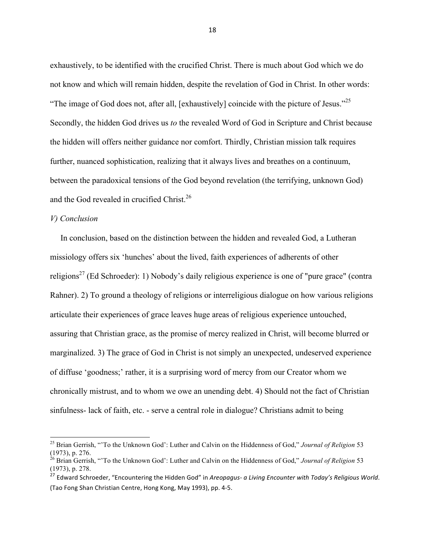exhaustively, to be identified with the crucified Christ. There is much about God which we do not know and which will remain hidden, despite the revelation of God in Christ. In other words: "The image of God does not, after all, [exhaustively] coincide with the picture of Jesus."<sup>25</sup> Secondly, the hidden God drives us *to* the revealed Word of God in Scripture and Christ because the hidden will offers neither guidance nor comfort. Thirdly, Christian mission talk requires further, nuanced sophistication, realizing that it always lives and breathes on a continuum, between the paradoxical tensions of the God beyond revelation (the terrifying, unknown God) and the God revealed in crucified Christ.<sup>26</sup>

## *V) Conclusion*

""""""""""""""""""""""""""""""""""""""""""""""""""""""""""""

 In conclusion, based on the distinction between the hidden and revealed God, a Lutheran missiology offers six 'hunches' about the lived, faith experiences of adherents of other religions<sup>27</sup> (Ed Schroeder): 1) Nobody's daily religious experience is one of "pure grace" (contra Rahner). 2) To ground a theology of religions or interreligious dialogue on how various religions articulate their experiences of grace leaves huge areas of religious experience untouched, assuring that Christian grace, as the promise of mercy realized in Christ, will become blurred or marginalized. 3) The grace of God in Christ is not simply an unexpected, undeserved experience of diffuse 'goodness;' rather, it is a surprising word of mercy from our Creator whom we chronically mistrust, and to whom we owe an unending debt. 4) Should not the fact of Christian sinfulness- lack of faith, etc. - serve a central role in dialogue? Christians admit to being

<sup>25</sup> Brian Gerrish, "'To the Unknown God': Luther and Calvin on the Hiddenness of God," *Journal of Religion* 53 (1973), p. 276.

<sup>26</sup> Brian Gerrish, "'To the Unknown God': Luther and Calvin on the Hiddenness of God," *Journal of Religion* 53 (1973), p. 278.

<sup>&</sup>lt;sup>27</sup> Edward Schroeder, "Encountering the Hidden God" in *Areopagus- a Living Encounter with Today's Religious World.* (Tao Fong Shan Christian Centre, Hong Kong, May 1993), pp. 4-5.